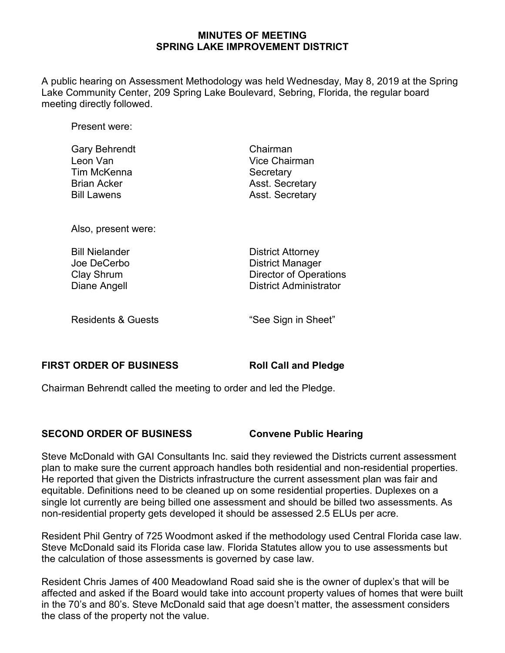### **MINUTES OF MEETING SPRING LAKE IMPROVEMENT DISTRICT**

A public hearing on Assessment Methodology was held Wednesday, May 8, 2019 at the Spring Lake Community Center, 209 Spring Lake Boulevard, Sebring, Florida, the regular board meeting directly followed.

Present were:

| <b>Gary Behrendt</b> | Chairman               |
|----------------------|------------------------|
| Leon Van             | Vice Chairman          |
| Tim McKenna          | Secretary              |
| <b>Brian Acker</b>   | <b>Asst. Secretary</b> |
| <b>Bill Lawens</b>   | <b>Asst. Secretary</b> |
|                      |                        |

Also, present were:

| <b>Bill Nielander</b> |  |
|-----------------------|--|
| Joe DeCerbo           |  |
| Clay Shrum            |  |
| Diane Angell          |  |

**District Attorney** District Manager Director of Operations District Administrator

Residents & Guests The See Sign in Sheet"

### **FIRST ORDER OF BUSINESS Roll Call and Pledge**

Chairman Behrendt called the meeting to order and led the Pledge.

## **SECOND ORDER OF BUSINESS Convene Public Hearing**

Steve McDonald with GAI Consultants Inc. said they reviewed the Districts current assessment plan to make sure the current approach handles both residential and non-residential properties. He reported that given the Districts infrastructure the current assessment plan was fair and equitable. Definitions need to be cleaned up on some residential properties. Duplexes on a single lot currently are being billed one assessment and should be billed two assessments. As non-residential property gets developed it should be assessed 2.5 ELUs per acre.

Resident Phil Gentry of 725 Woodmont asked if the methodology used Central Florida case law. Steve McDonald said its Florida case law. Florida Statutes allow you to use assessments but the calculation of those assessments is governed by case law.

Resident Chris James of 400 Meadowland Road said she is the owner of duplex's that will be affected and asked if the Board would take into account property values of homes that were built in the 70's and 80's. Steve McDonald said that age doesn't matter, the assessment considers the class of the property not the value.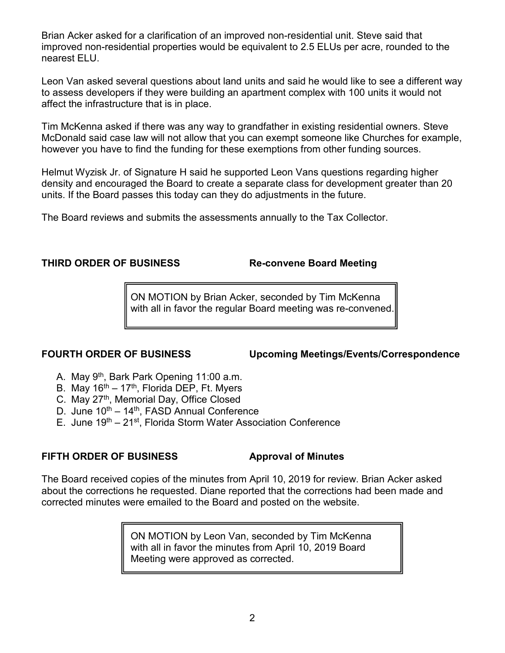Brian Acker asked for a clarification of an improved non-residential unit. Steve said that improved non-residential properties would be equivalent to 2.5 ELUs per acre, rounded to the nearest ELU.

Leon Van asked several questions about land units and said he would like to see a different way to assess developers if they were building an apartment complex with 100 units it would not affect the infrastructure that is in place.

Tim McKenna asked if there was any way to grandfather in existing residential owners. Steve McDonald said case law will not allow that you can exempt someone like Churches for example, however you have to find the funding for these exemptions from other funding sources.

Helmut Wyzisk Jr. of Signature H said he supported Leon Vans questions regarding higher density and encouraged the Board to create a separate class for development greater than 20 units. If the Board passes this today can they do adjustments in the future.

The Board reviews and submits the assessments annually to the Tax Collector.

## **THIRD ORDER OF BUSINESS Re-convene Board Meeting**

ON MOTION by Brian Acker, seconded by Tim McKenna with all in favor the regular Board meeting was re-convened.

**FOURTH ORDER OF BUSINESS Upcoming Meetings/Events/Correspondence**

- A. May 9th, Bark Park Opening 11:00 a.m.
- B. May  $16<sup>th</sup> 17<sup>th</sup>$ , Florida DEP, Ft. Myers
- C. May 27<sup>th</sup>, Memorial Day, Office Closed
- D. June  $10^{th} 14^{th}$ , FASD Annual Conference
- E. June 19<sup>th</sup> 21<sup>st</sup>, Florida Storm Water Association Conference

## **FIFTH ORDER OF BUSINESS Approval of Minutes**

The Board received copies of the minutes from April 10, 2019 for review. Brian Acker asked about the corrections he requested. Diane reported that the corrections had been made and corrected minutes were emailed to the Board and posted on the website.

> ON MOTION by Leon Van, seconded by Tim McKenna with all in favor the minutes from April 10, 2019 Board Meeting were approved as corrected.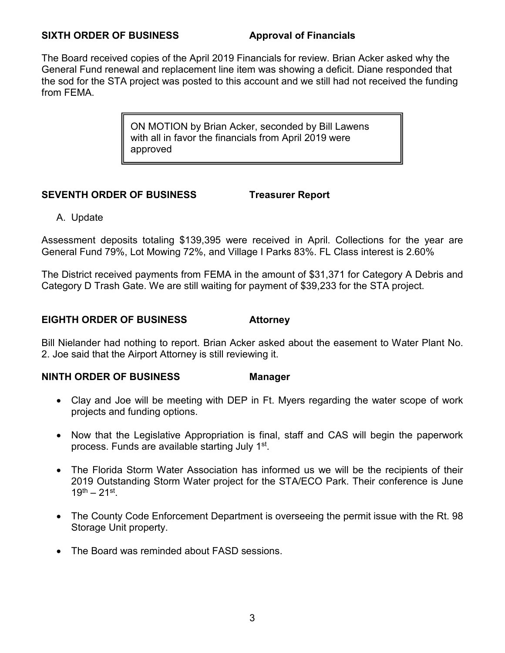## **SIXTH ORDER OF BUSINESS Approval of Financials**

The Board received copies of the April 2019 Financials for review. Brian Acker asked why the General Fund renewal and replacement line item was showing a deficit. Diane responded that the sod for the STA project was posted to this account and we still had not received the funding from FEMA.

> ON MOTION by Brian Acker, seconded by Bill Lawens with all in favor the financials from April 2019 were approved

# **SEVENTH ORDER OF BUSINESS Treasurer Report**

A. Update

Assessment deposits totaling \$139,395 were received in April. Collections for the year are General Fund 79%, Lot Mowing 72%, and Village I Parks 83%. FL Class interest is 2.60%

The District received payments from FEMA in the amount of \$31,371 for Category A Debris and Category D Trash Gate. We are still waiting for payment of \$39,233 for the STA project.

# **EIGHTH ORDER OF BUSINESS Attorney**

Bill Nielander had nothing to report. Brian Acker asked about the easement to Water Plant No. 2. Joe said that the Airport Attorney is still reviewing it.

# **NINTH ORDER OF BUSINESS Manager**

- Clay and Joe will be meeting with DEP in Ft. Myers regarding the water scope of work projects and funding options.
- Now that the Legislative Appropriation is final, staff and CAS will begin the paperwork process. Funds are available starting July 1st.
- The Florida Storm Water Association has informed us we will be the recipients of their 2019 Outstanding Storm Water project for the STA/ECO Park. Their conference is June  $19^{th} - 21^{st}$ .
- The County Code Enforcement Department is overseeing the permit issue with the Rt. 98 Storage Unit property.
- The Board was reminded about FASD sessions.